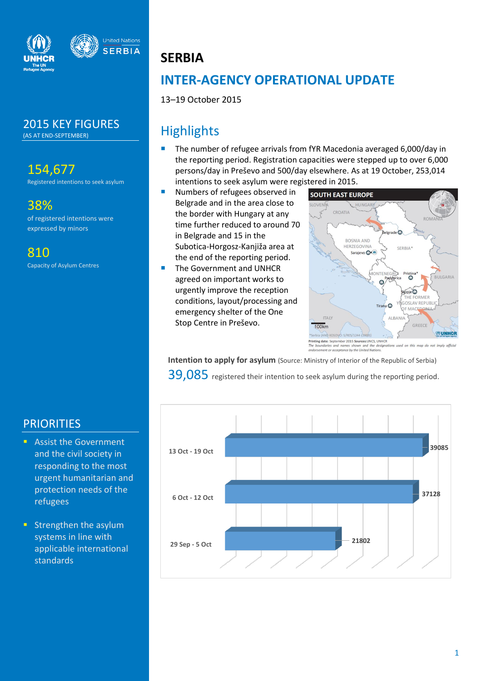



2015 KEY FIGURES (AS AT END-SEPTEMBER)

154,677

Registered intentions to seek asylum

38% of registered intentions were expressed by minors

810

Capacity of Asylum Centres

# **SERBIA**

# **INTER-AGENCY OPERATIONAL UPDATE**

13–19 October 2015

# **Highlights**

- The number of refugee arrivals from fYR Macedonia averaged 6,000/day in the reporting period. Registration capacities were stepped up to over 6,000 persons/day in Preševo and 500/day elsewhere. As at 19 October, 253,014 intentions to seek asylum were registered in 2015.
- Numbers of refugees observed in Belgrade and in the area close to the border with Hungary at any time further reduced to around 70 in Belgrade and 15 in the Subotica-Horgosz-Kanjiža area at the end of the reporting period.
- The Government and UNHCR agreed on important works to urgently improve the reception conditions, layout/processing and emergency shelter of the One Stop Centre in Preševo.



Printing date: September 2015 Sources: UNCS, UNHCR<br>The boundaries and names shown and the designa used on this map do mes shown and the designat<br>nce by the United Nations. sement or accepta

**Intention to apply for asylum** (Source: Ministry of Interior of the Republic of Serbia) 39,085 registered their intention to seek asylum during the reporting period.



## **PRIORITIES**

- **Assist the Government** and the civil society in responding to the most urgent humanitarian and protection needs of the refugees
- **Strengthen the asylum** systems in line with applicable international standards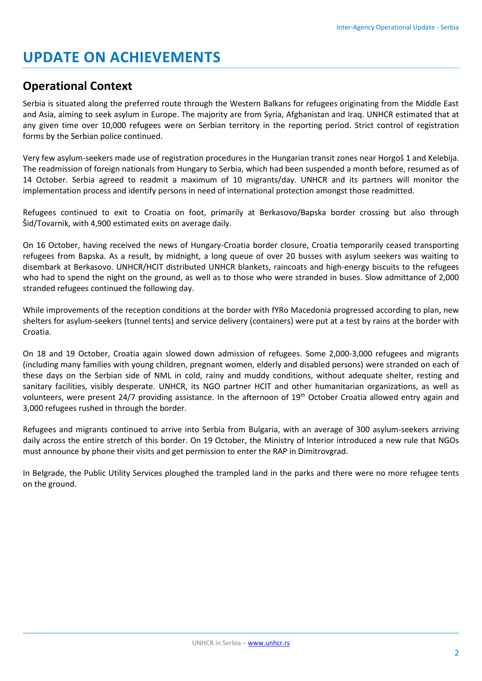# **UPDATE ON ACHIEVEMENTS**

## **Operational Context**

Serbia is situated along the preferred route through the Western Balkans for refugees originating from the Middle East and Asia, aiming to seek asylum in Europe. The majority are from Syria, Afghanistan and Iraq. UNHCR estimated that at any given time over 10,000 refugees were on Serbian territory in the reporting period. Strict control of registration forms by the Serbian police continued.

Very few asylum-seekers made use of registration procedures in the Hungarian transit zones near Horgoš 1 and Kelebija. The readmission of foreign nationals from Hungary to Serbia, which had been suspended a month before, resumed as of 14 October. Serbia agreed to readmit a maximum of 10 migrants/day. UNHCR and its partners will monitor the implementation process and identify persons in need of international protection amongst those readmitted.

Refugees continued to exit to Croatia on foot, primarily at Berkasovo/Bapska border crossing but also through Šid/Tovarnik, with 4,900 estimated exits on average daily.

On 16 October, having received the news of Hungary-Croatia border closure, Croatia temporarily ceased transporting refugees from Bapska. As a result, by midnight, a long queue of over 20 busses with asylum seekers was waiting to disembark at Berkasovo. UNHCR/HCIT distributed UNHCR blankets, raincoats and high-energy biscuits to the refugees who had to spend the night on the ground, as well as to those who were stranded in buses. Slow admittance of 2,000 stranded refugees continued the following day.

While improvements of the reception conditions at the border with fYRo Macedonia progressed according to plan, new shelters for asylum-seekers (tunnel tents) and service delivery (containers) were put at a test by rains at the border with Croatia.

On 18 and 19 October, Croatia again slowed down admission of refugees. Some 2,000-3,000 refugees and migrants (including many families with young children, pregnant women, elderly and disabled persons) were stranded on each of these days on the Serbian side of NML in cold, rainy and muddy conditions, without adequate shelter, resting and sanitary facilities, visibly desperate. UNHCR, its NGO partner HCIT and other humanitarian organizations, as well as volunteers, were present 24/7 providing assistance. In the afternoon of 19th October Croatia allowed entry again and 3,000 refugees rushed in through the border.

Refugees and migrants continued to arrive into Serbia from Bulgaria, with an average of 300 asylum-seekers arriving daily across the entire stretch of this border. On 19 October, the Ministry of Interior introduced a new rule that NGOs must announce by phone their visits and get permission to enter the RAP in Dimitrovgrad.

In Belgrade, the Public Utility Services ploughed the trampled land in the parks and there were no more refugee tents on the ground.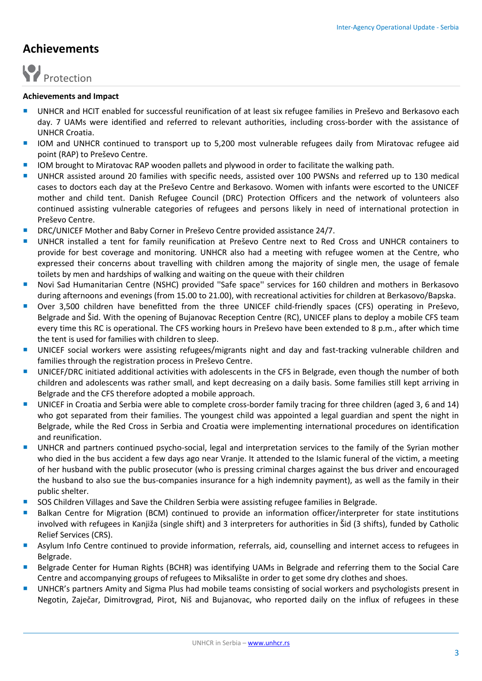## **Achievements**



#### **Achievements and Impact**

- UNHCR and HCIT enabled for successful reunification of at least six refugee families in Preševo and Berkasovo each day. 7 UAMs were identified and referred to relevant authorities, including cross-border with the assistance of UNHCR Croatia.
- IOM and UNHCR continued to transport up to 5,200 most vulnerable refugees daily from Miratovac refugee aid point (RAP) to Preševo Centre.
- **IOM** brought to Miratovac RAP wooden pallets and plywood in order to facilitate the walking path.
- UNHCR assisted around 20 families with specific needs, assisted over 100 PWSNs and referred up to 130 medical cases to doctors each day at the Preševo Centre and Berkasovo. Women with infants were escorted to the UNICEF mother and child tent. Danish Refugee Council (DRC) Protection Officers and the network of volunteers also continued assisting vulnerable categories of refugees and persons likely in need of international protection in Preševo Centre.
- DRC/UNICEF Mother and Baby Corner in Preševo Centre provided assistance 24/7.
- UNHCR installed a tent for family reunification at Preševo Centre next to Red Cross and UNHCR containers to provide for best coverage and monitoring. UNHCR also had a meeting with refugee women at the Centre, who expressed their concerns about travelling with children among the majority of single men, the usage of female toilets by men and hardships of walking and waiting on the queue with their children
- Novi Sad Humanitarian Centre (NSHC) provided ''Safe space'' services for 160 children and mothers in Berkasovo during afternoons and evenings (from 15.00 to 21.00), with recreational activities for children at Berkasovo/Bapska.
- Over 3,500 children have benefitted from the three UNICEF child-friendly spaces (CFS) operating in Preševo, Belgrade and Šid. With the opening of Bujanovac Reception Centre (RC), UNICEF plans to deploy a mobile CFS team every time this RC is operational. The CFS working hours in Preševo have been extended to 8 p.m., after which time the tent is used for families with children to sleep.
- UNICEF social workers were assisting refugees/migrants night and day and fast-tracking vulnerable children and families through the registration process in Preševo Centre.
- UNICEF/DRC initiated additional activities with adolescents in the CFS in Belgrade, even though the number of both children and adolescents was rather small, and kept decreasing on a daily basis. Some families still kept arriving in Belgrade and the CFS therefore adopted a mobile approach.
- UNICEF in Croatia and Serbia were able to complete cross-border family tracing for three children (aged 3, 6 and 14) who got separated from their families. The youngest child was appointed a legal guardian and spent the night in Belgrade, while the Red Cross in Serbia and Croatia were implementing international procedures on identification and reunification.
- UNHCR and partners continued psycho-social, legal and interpretation services to the family of the Syrian mother who died in the bus accident a few days ago near Vranje. It attended to the Islamic funeral of the victim, a meeting of her husband with the public prosecutor (who is pressing criminal charges against the bus driver and encouraged the husband to also sue the bus-companies insurance for a high indemnity payment), as well as the family in their public shelter.
- **SOS Children Villages and Save the Children Serbia were assisting refugee families in Belgrade.**
- Balkan Centre for Migration (BCM) continued to provide an information officer/interpreter for state institutions involved with refugees in Kanjiža (single shift) and 3 interpreters for authorities in Šid (3 shifts), funded by Catholic Relief Services (CRS).
- Asylum Info Centre continued to provide information, referrals, aid, counselling and internet access to refugees in Belgrade.
- Belgrade Center for Human Rights (BCHR) was identifying UAMs in Belgrade and referring them to the Social Care Centre and accompanying groups of refugees to Miksalište in order to get some dry clothes and shoes.
- **UNHCR's partners Amity and Sigma Plus had mobile teams consisting of social workers and psychologists present in** Negotin, Zaječar, Dimitrovgrad, Pirot, Niš and Bujanovac, who reported daily on the influx of refugees in these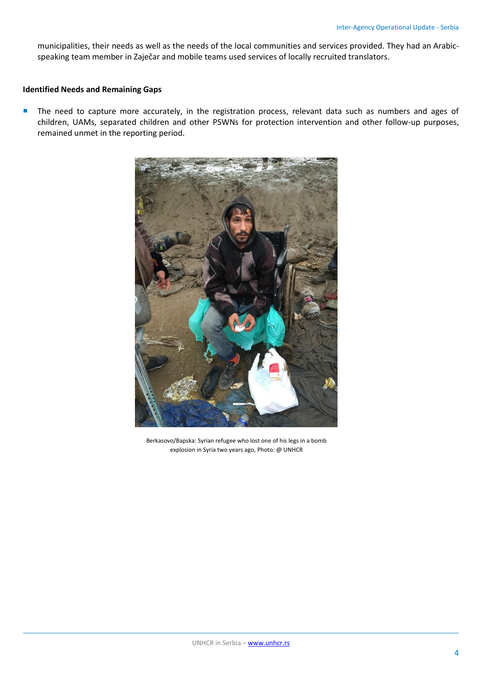municipalities, their needs as well as the needs of the local communities and services provided. They had an Arabicspeaking team member in Zaječar and mobile teams used services of locally recruited translators.

### **Identified Needs and Remaining Gaps**

The need to capture more accurately, in the registration process, relevant data such as numbers and ages of children, UAMs, separated children and other PSWNs for protection intervention and other follow-up purposes, remained unmet in the reporting period.



Berkasovo/Bapska: Syrian refugee who lost one of his legs in a bomb explosion in Syria two years ago, Photo: @ UNHCR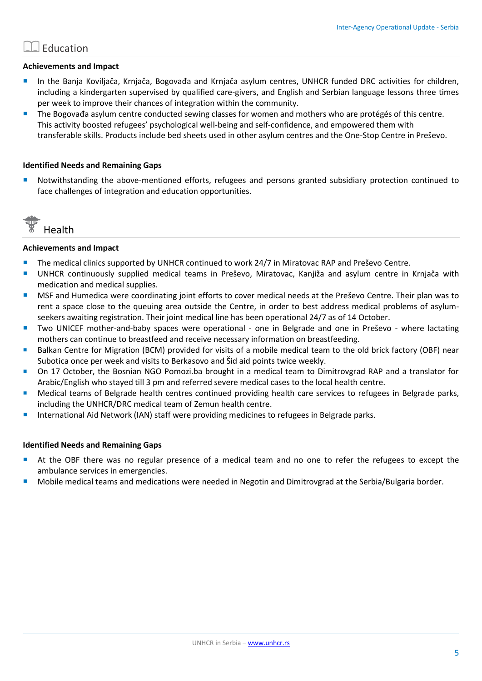## **Education**

### **Achievements and Impact**

- **In the Banja Koviljača, Krnjača, Bogovađa and Krnjača asylum centres, UNHCR funded DRC activities for children,** including a kindergarten supervised by qualified care-givers, and English and Serbian language lessons three times per week to improve their chances of integration within the community.
- The Bogovađa asylum centre conducted sewing classes for women and mothers who are protégés of this centre. This activity boosted refugees' psychological well-being and self-confidence, and empowered them with transferable skills. Products include bed sheets used in other asylum centres and the One-Stop Centre in Preševo.

#### **Identified Needs and Remaining Gaps**

 Notwithstanding the above-mentioned efforts, refugees and persons granted subsidiary protection continued to face challenges of integration and education opportunities.



#### **Achievements and Impact**

- The medical clinics supported by UNHCR continued to work 24/7 in Miratovac RAP and Preševo Centre.
- UNHCR continuously supplied medical teams in Preševo, Miratovac, Kanjiža and asylum centre in Krnjača with medication and medical supplies.
- MSF and Humedica were coordinating joint efforts to cover medical needs at the Preševo Centre. Their plan was to rent a space close to the queuing area outside the Centre, in order to best address medical problems of asylumseekers awaiting registration. Their joint medical line has been operational 24/7 as of 14 October.
- **T** Two UNICEF mother-and-baby spaces were operational one in Belgrade and one in Preševo where lactating mothers can continue to breastfeed and receive necessary information on breastfeeding.
- Balkan Centre for Migration (BCM) provided for visits of a mobile medical team to the old brick factory (OBF) near Subotica once per week and visits to Berkasovo and Šid aid points twice weekly.
- On 17 October, the Bosnian NGO Pomozi.ba brought in a medical team to Dimitrovgrad RAP and a translator for Arabic/English who stayed till 3 pm and referred severe medical cases to the local health centre.
- Medical teams of Belgrade health centres continued providing health care services to refugees in Belgrade parks, including the UNHCR/DRC medical team of Zemun health centre.
- International Aid Network (IAN) staff were providing medicines to refugees in Belgrade parks.

#### **Identified Needs and Remaining Gaps**

- At the OBF there was no regular presence of a medical team and no one to refer the refugees to except the ambulance services in emergencies.
- Mobile medical teams and medications were needed in Negotin and Dimitrovgrad at the Serbia/Bulgaria border.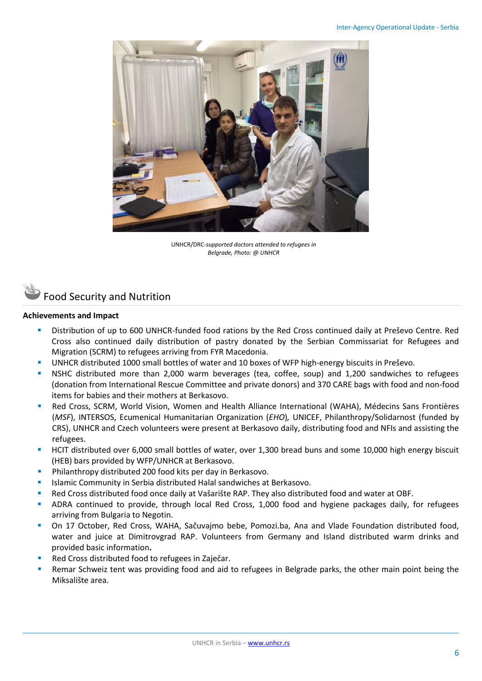

UNHCR/DRC-*supported doctors attended to refugees in Belgrade, Photo: @ UNHCR*

# Food Security and Nutrition

### **Achievements and Impact**

- Distribution of up to 600 UNHCR-funded food rations by the Red Cross continued daily at Preševo Centre. Red Cross also continued daily distribution of pastry donated by the Serbian Commissariat for Refugees and Migration (SCRM) to refugees arriving from FYR Macedonia.
- UNHCR distributed 1000 small bottles of water and 10 boxes of WFP high-energy biscuits in Preševo.
- NSHC distributed more than 2,000 warm beverages (tea, coffee, soup) and 1,200 sandwiches to refugees (donation from International Rescue Committee and private donors) and 370 CARE bags with food and non-food items for babies and their mothers at Berkasovo.
- Red Cross, SCRM, World Vision, Women and Health Alliance International (WAHA), Médecins Sans Frontières (*MSF*), INTERSOS, Ecumenical Humanitarian Organization (*EHO*)*,* UNICEF, Philanthropy/Solidarnost (funded by CRS), UNHCR and Czech volunteers were present at Berkasovo daily, distributing food and NFIs and assisting the refugees.
- HCIT distributed over 6,000 small bottles of water, over 1,300 bread buns and some 10,000 high energy biscuit (HEB) bars provided by WFP/UNHCR at Berkasovo.
- **Philanthropy distributed 200 food kits per day in Berkasovo.**
- **In Italiamic Community in Serbia distributed Halal sandwiches at Berkasovo.**
- Red Cross distributed food once daily at Vašarište RAP. They also distributed food and water at OBF.
- ADRA continued to provide, through local Red Cross, 1,000 food and hygiene packages daily, for refugees arriving from Bulgaria to Negotin.
- On 17 October, Red Cross, WAHA, Sačuvajmo bebe, Pomozi.ba, Ana and Vlade Foundation distributed food, water and juice at Dimitrovgrad RAP. Volunteers from Germany and Island distributed warm drinks and provided basic information**.**
- Red Cross distributed food to refugees in Zaječar.
- Remar Schweiz tent was providing food and aid to refugees in Belgrade parks, the other main point being the Miksalište area.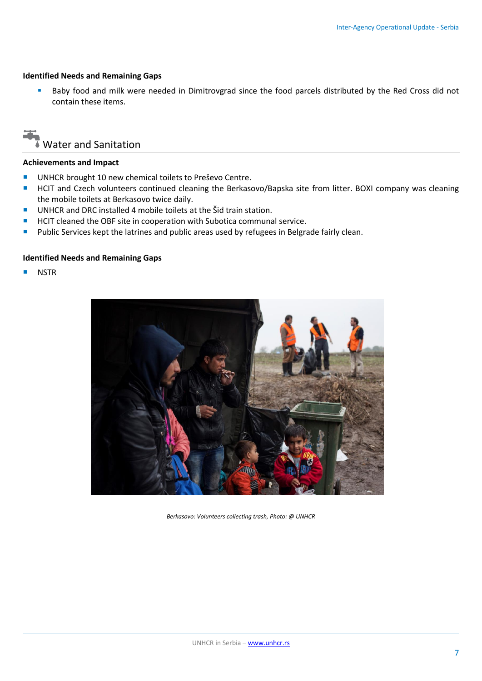### **Identified Needs and Remaining Gaps**

 Baby food and milk were needed in Dimitrovgrad since the food parcels distributed by the Red Cross did not contain these items.

# Water and Sanitation

### **Achievements and Impact**

- **UNHCR** brought 10 new chemical toilets to Preševo Centre.
- HCIT and Czech volunteers continued cleaning the Berkasovo/Bapska site from litter. BOXI company was cleaning the mobile toilets at Berkasovo twice daily.
- UNHCR and DRC installed 4 mobile toilets at the Šid train station.
- HCIT cleaned the OBF site in cooperation with Subotica communal service.
- **Public Services kept the latrines and public areas used by refugees in Belgrade fairly clean.**

## **Identified Needs and Remaining Gaps**

**NSTR** 



*Berkasovo: Volunteers collecting trash, Photo: @ UNHCR*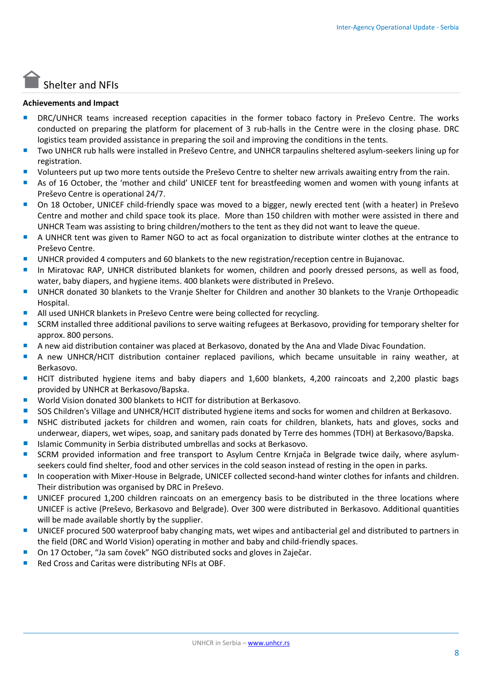# Shelter and NFIs

## **Achievements and Impact**

- **DRC/UNHCR teams increased reception capacities in the former tobaco factory in Preševo Centre. The works** conducted on preparing the platform for placement of 3 rub-halls in the Centre were in the closing phase. DRC logistics team provided assistance in preparing the soil and improving the conditions in the tents.
- Two UNHCR rub halls were installed in Preševo Centre, and UNHCR tarpaulins sheltered asylum-seekers lining up for registration.
- Volunteers put up two more tents outside the Preševo Centre to shelter new arrivals awaiting entry from the rain.
- As of 16 October, the 'mother and child' UNICEF tent for breastfeeding women and women with young infants at Preševo Centre is operational 24/7.
- On 18 October, UNICEF child-friendly space was moved to a bigger, newly erected tent (with a heater) in Preševo Centre and mother and child space took its place. More than 150 children with mother were assisted in there and UNHCR Team was assisting to bring children/mothers to the tent as they did not want to leave the queue.
- A UNHCR tent was given to Ramer NGO to act as focal organization to distribute winter clothes at the entrance to Preševo Centre.
- UNHCR provided 4 computers and 60 blankets to the new registration/reception centre in Bujanovac.
- In Miratovac RAP, UNHCR distributed blankets for women, children and poorly dressed persons, as well as food, water, baby diapers, and hygiene items. 400 blankets were distributed in Preševo.
- UNHCR donated 30 blankets to the Vranje Shelter for Children and another 30 blankets to the Vranje Orthopeadic Hospital.
- All used UNHCR blankets in Preševo Centre were being collected for recycling.
- SCRM installed three additional pavilions to serve waiting refugees at Berkasovo, providing for temporary shelter for approx. 800 persons.
- A new aid distribution container was placed at Berkasovo, donated by the Ana and Vlade Divac Foundation.
- A new UNHCR/HCIT distribution container replaced pavilions, which became unsuitable in rainy weather, at Berkasovo.
- HCIT distributed hygiene items and baby diapers and 1,600 blankets, 4,200 raincoats and 2,200 plastic bags provided by UNHCR at Berkasovo/Bapska.
- World Vision donated 300 blankets to HCIT for distribution at Berkasovo.
- SOS Children's Village and UNHCR/HCIT distributed hygiene items and socks for women and children at Berkasovo.
- **NIC distributed jackets for children and women, rain coats for children, blankets, hats and gloves, socks and** underwear, diapers, wet wipes, soap, and sanitary pads donated by Terre des hommes (TDH) at Berkasovo/Bapska.
- Islamic Community in Serbia distributed umbrellas and socks at Berkasovo.
- **SCRM provided information and free transport to Asylum Centre Krnjača in Belgrade twice daily, where asylum**seekers could find shelter, food and other services in the cold season instead of resting in the open in parks.
- **In cooperation with Mixer-House in Belgrade, UNICEF collected second-hand winter clothes for infants and children.** Their distribution was organised by DRC in Preševo.
- **UNICEF procured 1,200 children raincoats on an emergency basis to be distributed in the three locations where** UNICEF is active (Preševo, Berkasovo and Belgrade). Over 300 were distributed in Berkasovo. Additional quantities will be made available shortly by the supplier.
- UNICEF procured 500 waterproof baby changing mats, wet wipes and antibacterial gel and distributed to partners in the field (DRC and World Vision) operating in mother and baby and child-friendly spaces.
- On 17 October, "Ja sam čovek" NGO distributed socks and gloves in Zaječar.
- Red Cross and Caritas were distributing NFIs at OBF.